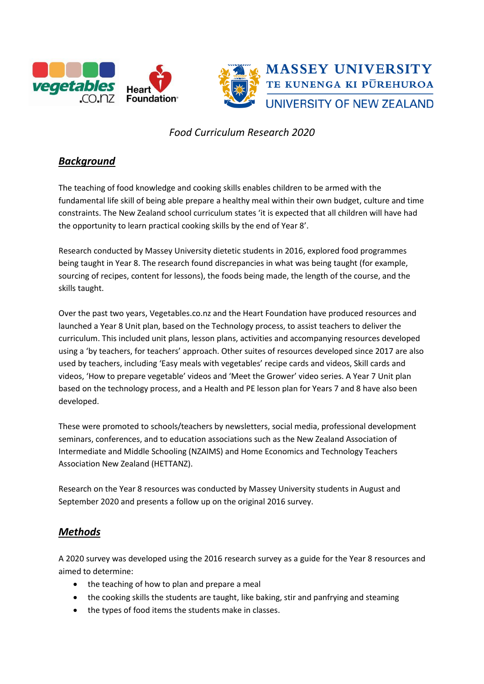



# *Food Curriculum Research 2020*

# *Background*

The teaching of food knowledge and cooking skills enables children to be armed with the fundamental life skill of being able prepare a healthy meal within their own budget, culture and time constraints. The New Zealand school curriculum states 'it is expected that all children will have had the opportunity to learn practical cooking skills by the end of Year 8'.

Research conducted by Massey University dietetic students in 2016, explored food programmes being taught in Year 8. The research found discrepancies in what was being taught (for example, sourcing of recipes, content for lessons), the foods being made, the length of the course, and the skills taught.

Over the past two years, Vegetables.co.nz and the Heart Foundation have produced resources and launched a Year 8 Unit plan, based on the Technology process, to assist teachers to deliver the curriculum. This included unit plans, lesson plans, activities and accompanying resources developed using a 'by teachers, for teachers' approach. Other suites of resources developed since 2017 are also used by teachers, including 'Easy meals with vegetables' recipe cards and videos, Skill cards and videos, 'How to prepare vegetable' videos and 'Meet the Grower' video series. A Year 7 Unit plan based on the technology process, and a Health and PE lesson plan for Years 7 and 8 have also been developed.

These were promoted to schools/teachers by newsletters, social media, professional development seminars, conferences, and to education associations such as the New Zealand Association of Intermediate and Middle Schooling (NZAIMS) and Home Economics and Technology Teachers Association New Zealand (HETTANZ).

Research on the Year 8 resources was conducted by Massey University students in August and September 2020 and presents a follow up on the original 2016 survey.

## *Methods*

A 2020 survey was developed using the 2016 research survey as a guide for the Year 8 resources and aimed to determine:

- the teaching of how to plan and prepare a meal
- the cooking skills the students are taught, like baking, stir and panfrying and steaming
- the types of food items the students make in classes.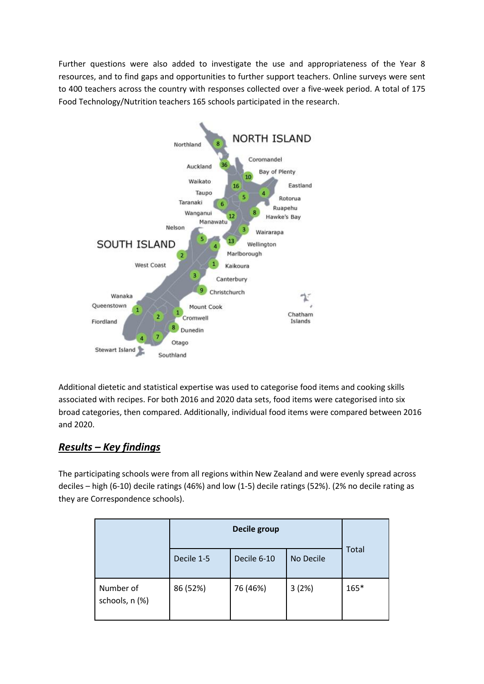Further questions were also added to investigate the use and appropriateness of the Year 8 resources, and to find gaps and opportunities to further support teachers. Online surveys were sent to 400 teachers across the country with responses collected over a five-week period. A total of 175 Food Technology/Nutrition teachers 165 schools participated in the research.



Additional dietetic and statistical expertise was used to categorise food items and cooking skills associated with recipes. For both 2016 and 2020 data sets, food items were categorised into six broad categories, then compared. Additionally, individual food items were compared between 2016 and 2020.

## *Results – Key findings*

The participating schools were from all regions within New Zealand and were evenly spread across deciles – high (6-10) decile ratings (46%) and low (1-5) decile ratings (52%). (2% no decile rating as they are Correspondence schools).

|                             | Decile group |             |           |       |
|-----------------------------|--------------|-------------|-----------|-------|
|                             | Decile 1-5   | Decile 6-10 | No Decile | Total |
| Number of<br>schools, n (%) | 86 (52%)     | 76 (46%)    | 3(2%)     | 165*  |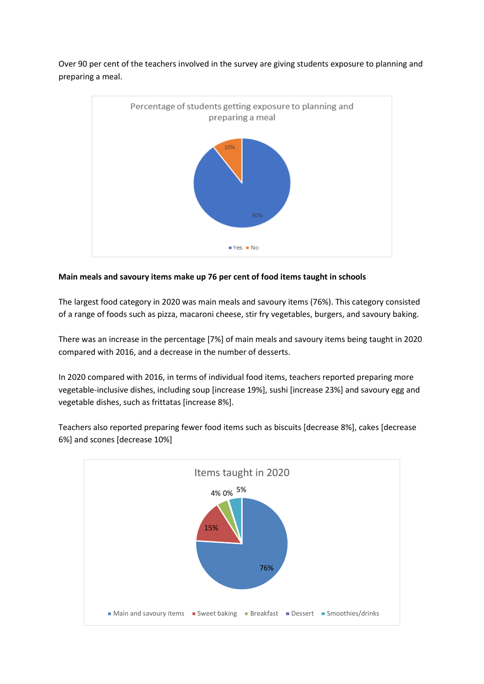Over 90 per cent of the teachers involved in the survey are giving students exposure to planning and preparing a meal.



#### **Main meals and savoury items make up 76 per cent of food items taught in schools**

The largest food category in 2020 was main meals and savoury items (76%). This category consisted of a range of foods such as pizza, macaroni cheese, stir fry vegetables, burgers, and savoury baking.

There was an increase in the percentage [7%] of main meals and savoury items being taught in 2020 compared with 2016, and a decrease in the number of desserts.

In 2020 compared with 2016, in terms of individual food items, teachers reported preparing more vegetable-inclusive dishes, including soup [increase 19%], sushi [increase 23%] and savoury egg and vegetable dishes, such as frittatas [increase 8%].



Teachers also reported preparing fewer food items such as biscuits [decrease 8%], cakes [decrease 6%] and scones [decrease 10%]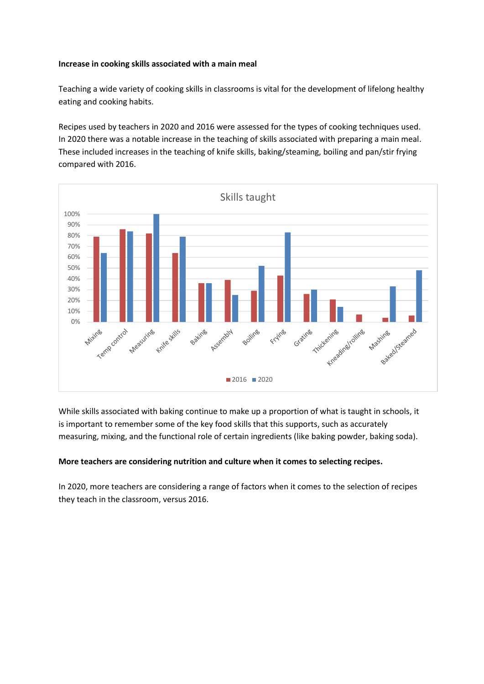#### **Increase in cooking skills associated with a main meal**

Teaching a wide variety of cooking skills in classrooms is vital for the development of lifelong healthy eating and cooking habits.

Recipes used by teachers in 2020 and 2016 were assessed for the types of cooking techniques used. In 2020 there was a notable increase in the teaching of skills associated with preparing a main meal. These included increases in the teaching of knife skills, baking/steaming, boiling and pan/stir frying compared with 2016.



While skills associated with baking continue to make up a proportion of what is taught in schools, it is important to remember some of the key food skills that this supports, such as accurately measuring, mixing, and the functional role of certain ingredients (like baking powder, baking soda).

#### **More teachers are considering nutrition and culture when it comes to selecting recipes.**

In 2020, more teachers are considering a range of factors when it comes to the selection of recipes they teach in the classroom, versus 2016.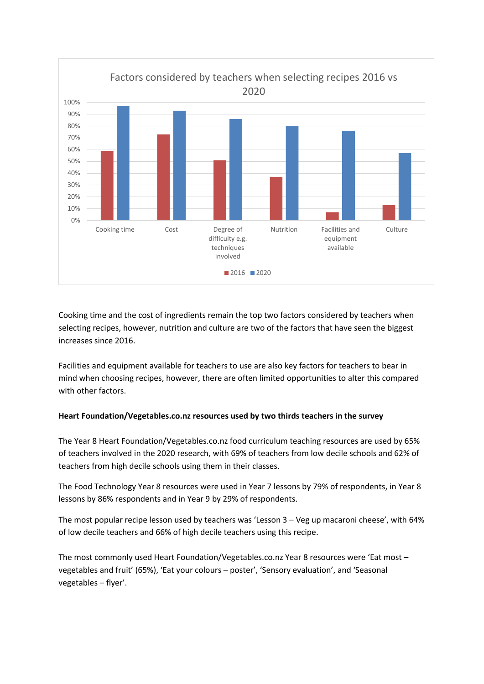

Cooking time and the cost of ingredients remain the top two factors considered by teachers when selecting recipes, however, nutrition and culture are two of the factors that have seen the biggest increases since 2016.

Facilities and equipment available for teachers to use are also key factors for teachers to bear in mind when choosing recipes, however, there are often limited opportunities to alter this compared with other factors.

#### **Heart Foundation/Vegetables.co.nz resources used by two thirds teachers in the survey**

The Year 8 Heart Foundation/Vegetables.co.nz food curriculum teaching resources are used by 65% of teachers involved in the 2020 research, with 69% of teachers from low decile schools and 62% of teachers from high decile schools using them in their classes.

The Food Technology Year 8 resources were used in Year 7 lessons by 79% of respondents, in Year 8 lessons by 86% respondents and in Year 9 by 29% of respondents.

The most popular recipe lesson used by teachers was 'Lesson 3 – Veg up macaroni cheese', with 64% of low decile teachers and 66% of high decile teachers using this recipe.

The most commonly used Heart Foundation/Vegetables.co.nz Year 8 resources were 'Eat most – vegetables and fruit' (65%), 'Eat your colours – poster', 'Sensory evaluation', and 'Seasonal vegetables – flyer'.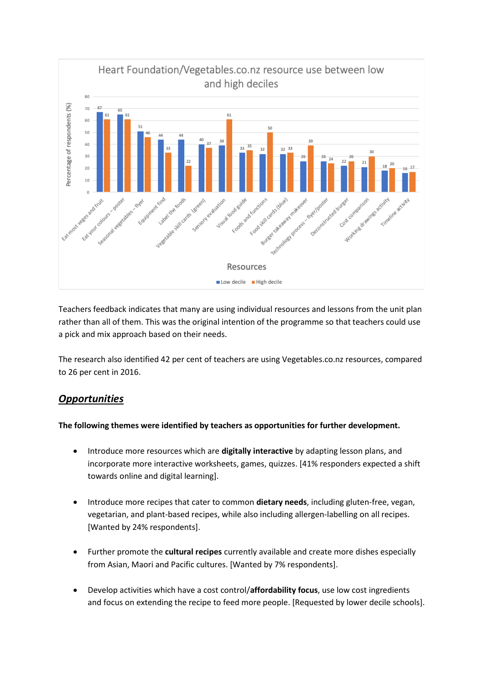

Teachers feedback indicates that many are using individual resources and lessons from the unit plan rather than all of them. This was the original intention of the programme so that teachers could use a pick and mix approach based on their needs.

The research also identified 42 per cent of teachers are using Vegetables.co.nz resources, compared to 26 per cent in 2016.

### *Opportunities*

#### **The following themes were identified by teachers as opportunities for further development.**

- Introduce more resources which are **digitally interactive** by adapting lesson plans, and incorporate more interactive worksheets, games, quizzes. [41% responders expected a shift towards online and digital learning].
- Introduce more recipes that cater to common **dietary needs**, including gluten-free, vegan, vegetarian, and plant-based recipes, while also including allergen-labelling on all recipes. [Wanted by 24% respondents].
- Further promote the **cultural recipes** currently available and create more dishes especially from Asian, Maori and Pacific cultures. [Wanted by 7% respondents].
- Develop activities which have a cost control/**affordability focus**, use low cost ingredients and focus on extending the recipe to feed more people. [Requested by lower decile schools].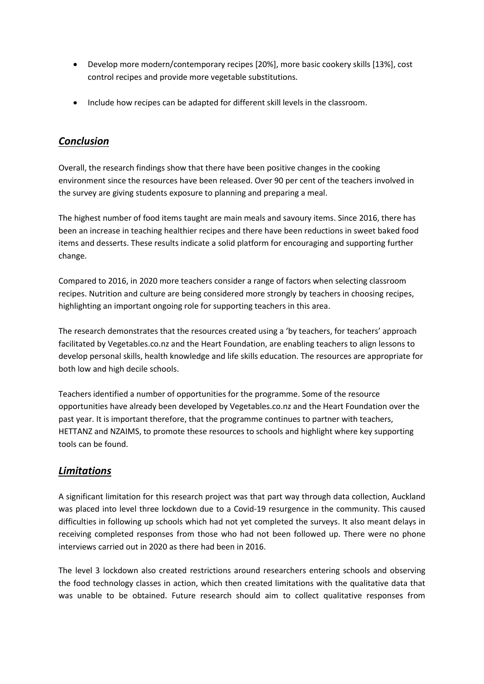- Develop more modern/contemporary recipes [20%], more basic cookery skills [13%], cost control recipes and provide more vegetable substitutions.
- Include how recipes can be adapted for different skill levels in the classroom.

## *Conclusion*

Overall, the research findings show that there have been positive changes in the cooking environment since the resources have been released. Over 90 per cent of the teachers involved in the survey are giving students exposure to planning and preparing a meal.

The highest number of food items taught are main meals and savoury items. Since 2016, there has been an increase in teaching healthier recipes and there have been reductions in sweet baked food items and desserts. These results indicate a solid platform for encouraging and supporting further change.

Compared to 2016, in 2020 more teachers consider a range of factors when selecting classroom recipes. Nutrition and culture are being considered more strongly by teachers in choosing recipes, highlighting an important ongoing role for supporting teachers in this area.

The research demonstrates that the resources created using a 'by teachers, for teachers' approach facilitated by Vegetables.co.nz and the Heart Foundation, are enabling teachers to align lessons to develop personal skills, health knowledge and life skills education. The resources are appropriate for both low and high decile schools.

Teachers identified a number of opportunities for the programme. Some of the resource opportunities have already been developed by Vegetables.co.nz and the Heart Foundation over the past year. It is important therefore, that the programme continues to partner with teachers, HETTANZ and NZAIMS, to promote these resources to schools and highlight where key supporting tools can be found.

### *Limitations*

A significant limitation for this research project was that part way through data collection, Auckland was placed into level three lockdown due to a Covid-19 resurgence in the community. This caused difficulties in following up schools which had not yet completed the surveys. It also meant delays in receiving completed responses from those who had not been followed up. There were no phone interviews carried out in 2020 as there had been in 2016.

The level 3 lockdown also created restrictions around researchers entering schools and observing the food technology classes in action, which then created limitations with the qualitative data that was unable to be obtained. Future research should aim to collect qualitative responses from